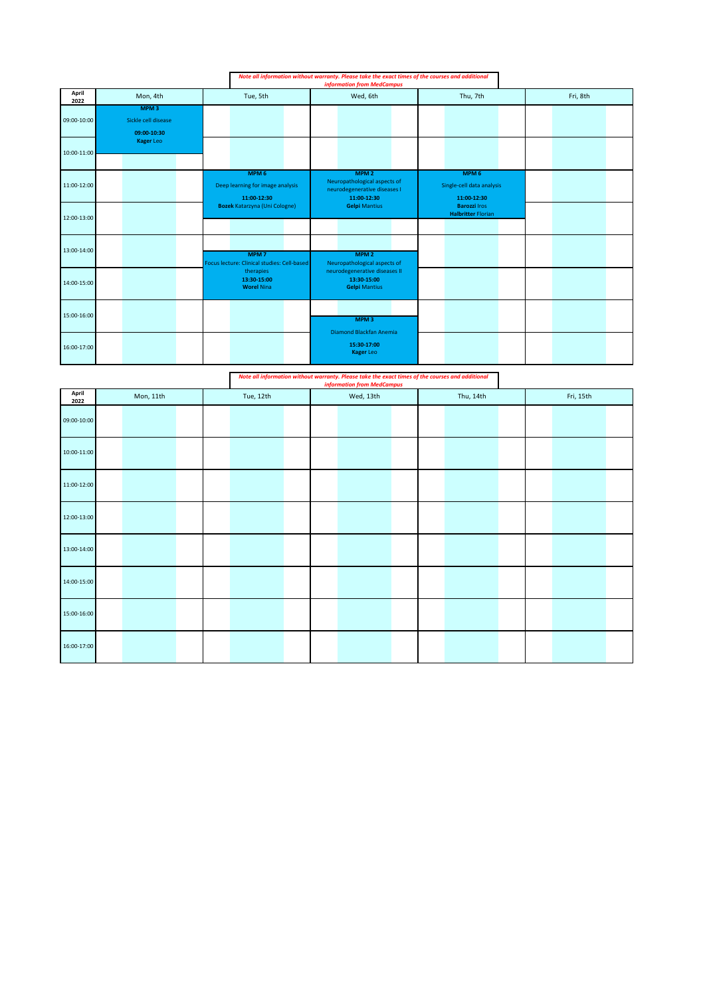|               |                                                        |                                                                     | Note all information without warranty. Please take the exact times of the courses and additional<br><b>information from MedCampus</b> |                                                              |          |  |
|---------------|--------------------------------------------------------|---------------------------------------------------------------------|---------------------------------------------------------------------------------------------------------------------------------------|--------------------------------------------------------------|----------|--|
| April<br>2022 | Mon, 4th                                               | Tue, 5th                                                            | Wed, 6th                                                                                                                              | Thu, 7th                                                     | Fri, 8th |  |
| 09:00-10:00   | MPM <sub>3</sub><br>Sickle cell disease<br>09:00-10:30 |                                                                     |                                                                                                                                       |                                                              |          |  |
| 10:00-11:00   | <b>Kager Leo</b>                                       |                                                                     |                                                                                                                                       |                                                              |          |  |
| 11:00-12:00   |                                                        | MPM <sub>6</sub><br>Deep learning for image analysis<br>11:00-12:30 | MPM <sub>2</sub><br>Neuropathological aspects of<br>neurodegenerative diseases I<br>11:00-12:30                                       | MPM <sub>6</sub><br>Single-cell data analysis<br>11:00-12:30 |          |  |
| 12:00-13:00   |                                                        | <b>Bozek Katarzyna (Uni Cologne)</b>                                | <b>Gelpi Mantius</b>                                                                                                                  | <b>Barozzi Iros</b><br><b>Halbritter Florian</b>             |          |  |
| 13:00-14:00   |                                                        | MPM <sub>7</sub><br>Focus lecture: Clinical studies: Cell-based     | MPM <sub>2</sub><br>Neuropathological aspects of                                                                                      |                                                              |          |  |
| 14:00-15:00   |                                                        | therapies<br>13:30-15:00<br><b>Worel Nina</b>                       | neurodegenerative diseases II<br>13:30-15:00<br><b>Gelpi Mantius</b>                                                                  |                                                              |          |  |
| 15:00-16:00   |                                                        |                                                                     | MPM <sub>3</sub><br>Diamond Blackfan Anemia                                                                                           |                                                              |          |  |
| 16:00-17:00   |                                                        |                                                                     | 15:30-17:00<br><b>Kager Leo</b>                                                                                                       |                                                              |          |  |

|                 | Note all information without warranty. Please take the exact times of the courses and additional<br><b>information from MedCampus</b> |           |  |           |  |  |           |  |  |           |  |  |  |
|-----------------|---------------------------------------------------------------------------------------------------------------------------------------|-----------|--|-----------|--|--|-----------|--|--|-----------|--|--|--|
| April<br>2022   | Mon, 11th                                                                                                                             | Tue, 12th |  | Wed, 13th |  |  | Thu, 14th |  |  | Fri, 15th |  |  |  |
| 09:00-10:00     |                                                                                                                                       |           |  |           |  |  |           |  |  |           |  |  |  |
| $10:00 - 11:00$ |                                                                                                                                       |           |  |           |  |  |           |  |  |           |  |  |  |
| 11:00-12:00     |                                                                                                                                       |           |  |           |  |  |           |  |  |           |  |  |  |
| 12:00-13:00     |                                                                                                                                       |           |  |           |  |  |           |  |  |           |  |  |  |
| 13:00-14:00     |                                                                                                                                       |           |  |           |  |  |           |  |  |           |  |  |  |
| 14:00-15:00     |                                                                                                                                       |           |  |           |  |  |           |  |  |           |  |  |  |
| 15:00-16:00     |                                                                                                                                       |           |  |           |  |  |           |  |  |           |  |  |  |
| 16:00-17:00     |                                                                                                                                       |           |  |           |  |  |           |  |  |           |  |  |  |